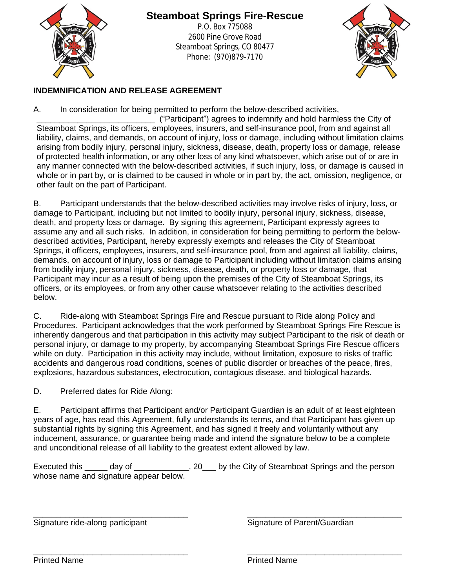

## **Steamboat Springs Fire-Rescue**

P.O. Box 775088 2600 Pine Grove Road Steamboat Springs, CO 80477 Phone: (970)879-7170



#### **INDEMNIFICATION AND RELEASE AGREEMENT**

A. In consideration for being permitted to perform the below-described activities,

\_\_\_\_\_\_\_\_\_\_\_\_\_\_\_\_\_\_\_\_\_\_\_\_\_\_ ("Participant") agrees to indemnify and hold harmless the City of Steamboat Springs, its officers, employees, insurers, and self-insurance pool, from and against all liability, claims, and demands, on account of injury, loss or damage, including without limitation claims arising from bodily injury, personal injury, sickness, disease, death, property loss or damage, release of protected health information, or any other loss of any kind whatsoever, which arise out of or are in any manner connected with the below-described activities, if such injury, loss, or damage is caused in whole or in part by, or is claimed to be caused in whole or in part by, the act, omission, negligence, or other fault on the part of Participant.

B. Participant understands that the below-described activities may involve risks of injury, loss, or damage to Participant, including but not limited to bodily injury, personal injury, sickness, disease, death, and property loss or damage. By signing this agreement, Participant expressly agrees to assume any and all such risks. In addition, in consideration for being permitting to perform the belowdescribed activities, Participant, hereby expressly exempts and releases the City of Steamboat Springs, it officers, employees, insurers, and self-insurance pool, from and against all liability, claims, demands, on account of injury, loss or damage to Participant including without limitation claims arising from bodily injury, personal injury, sickness, disease, death, or property loss or damage, that Participant may incur as a result of being upon the premises of the City of Steamboat Springs, its officers, or its employees, or from any other cause whatsoever relating to the activities described below.

C. Ride-along with Steamboat Springs Fire and Rescue pursuant to Ride along Policy and Procedures. Participant acknowledges that the work performed by Steamboat Springs Fire Rescue is inherently dangerous and that participation in this activity may subject Participant to the risk of death or personal injury, or damage to my property, by accompanying Steamboat Springs Fire Rescue officers while on duty. Participation in this activity may include, without limitation, exposure to risks of traffic accidents and dangerous road conditions, scenes of public disorder or breaches of the peace, fires, explosions, hazardous substances, electrocution, contagious disease, and biological hazards.

D. Preferred dates for Ride Along:

E. Participant affirms that Participant and/or Participant Guardian is an adult of at least eighteen years of age, has read this Agreement, fully understands its terms, and that Participant has given up substantial rights by signing this Agreement, and has signed it freely and voluntarily without any inducement, assurance, or guarantee being made and intend the signature below to be a complete and unconditional release of all liability to the greatest extent allowed by law.

Executed this \_\_\_\_\_ day of \_\_\_\_\_\_\_\_\_\_\_, 20\_\_\_ by the City of Steamboat Springs and the person whose name and signature appear below.

Signature ride-along participant Signature of Parent/Guardian

\_\_\_\_\_\_\_\_\_\_\_\_\_\_\_\_\_\_\_\_\_\_\_\_\_\_\_\_\_\_\_\_\_\_ \_\_\_\_\_\_\_\_\_\_\_\_\_\_\_\_\_\_\_\_\_\_\_\_\_\_\_\_\_\_\_\_\_\_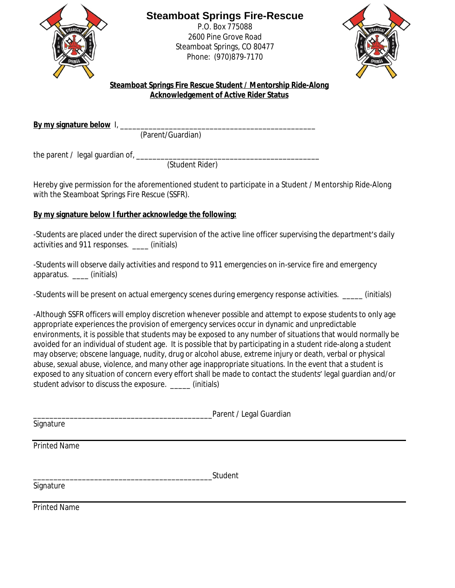

### **Steamboat Springs Fire-Rescue**

P.O. Box 775088 2600 Pine Grove Road Steamboat Springs, CO 80477 Phone: (970)879-7170



**Steamboat Springs Fire Rescue Student / Mentorship Ride-Along Acknowledgement of Active Rider Status**

**By my signature below** I, \_\_\_\_\_\_\_\_\_\_\_\_\_\_\_\_\_\_\_\_\_\_\_\_\_\_\_\_\_\_\_\_\_\_\_\_\_\_\_\_\_\_\_\_\_\_\_\_

(Parent/Guardian)

the parent / legal guardian of, \_\_\_\_\_\_\_\_\_\_\_\_\_\_\_\_\_\_\_\_\_\_\_\_\_\_\_\_\_\_\_\_\_\_\_\_\_\_\_\_\_\_\_\_\_

(Student Rider)

Hereby give permission for the aforementioned student to participate in a Student / Mentorship Ride-Along with the Steamboat Springs Fire Rescue (SSFR).

#### **By my signature below I further acknowledge the following:**

-Students are placed under the direct supervision of the active line officer supervising the department's daily activities and 911 responses. \_\_\_\_ (initials)

-Students will observe daily activities and respond to 911 emergencies on in-service fire and emergency apparatus. \_\_\_\_ (initials)

-Students will be present on actual emergency scenes during emergency response activities. \_\_\_\_\_\_ (initials)

-Although SSFR officers will employ discretion whenever possible and attempt to expose students to only age appropriate experiences the provision of emergency services occur in dynamic and unpredictable environments, it is possible that students may be exposed to any number of situations that would normally be avoided for an individual of student age. It is possible that by participating in a student ride-along a student may observe; obscene language, nudity, drug or alcohol abuse, extreme injury or death, verbal or physical abuse, sexual abuse, violence, and many other age inappropriate situations. In the event that a student is exposed to any situation of concern every effort shall be made to contact the students' legal guardian and/or student advisor to discuss the exposure. \_\_\_\_\_\_\_ (initials)

|                     | Parent / Legal Guardian |  |
|---------------------|-------------------------|--|
| Signature           |                         |  |
| Printed Name        |                         |  |
|                     | Student                 |  |
| Signature           |                         |  |
| <b>Printed Name</b> |                         |  |